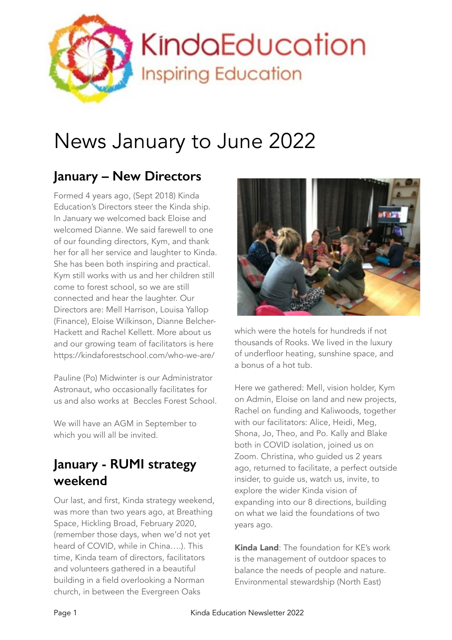

# News January to June 2022

## **January – New Directors**

Formed 4 years ago, (Sept 2018) Kinda Education's Directors steer the Kinda ship. In January we welcomed back Eloise and welcomed Dianne. We said farewell to one of our founding directors, Kym, and thank her for all her service and laughter to Kinda. She has been both inspiring and practical. Kym still works with us and her children still come to forest school, so we are still connected and hear the laughter. Our Directors are: Mell Harrison, Louisa Yallop (Finance), Eloise Wilkinson, Dianne Belcher-Hackett and Rachel Kellett. More about us and our growing team of facilitators is here https://kindaforestschool.com/who-we-are/

Pauline (Po) Midwinter is our Administrator Astronaut, who occasionally facilitates for us and also works at Beccles Forest School.

We will have an AGM in September to which you will all be invited.

#### **January - RUMI strategy weekend**

Our last, and first, Kinda strategy weekend, was more than two years ago, at Breathing Space, Hickling Broad, February 2020, (remember those days, when we'd not yet heard of COVID, while in China….). This time, Kinda team of directors, facilitators and volunteers gathered in a beautiful building in a field overlooking a Norman church, in between the Evergreen Oaks



which were the hotels for hundreds if not thousands of Rooks. We lived in the luxury of underfloor heating, sunshine space, and a bonus of a hot tub.

Here we gathered: Mell, vision holder, Kym on Admin, Eloise on land and new projects, Rachel on funding and Kaliwoods, together with our facilitators: Alice, Heidi, Meg, Shona, Jo, Theo, and Po. Kally and Blake both in COVID isolation, joined us on Zoom. Christina, who guided us 2 years ago, returned to facilitate, a perfect outside insider, to guide us, watch us, invite, to explore the wider Kinda vision of expanding into our 8 directions, building on what we laid the foundations of two years ago.

Kinda Land: The foundation for KE's work is the management of outdoor spaces to balance the needs of people and nature. Environmental stewardship (North East)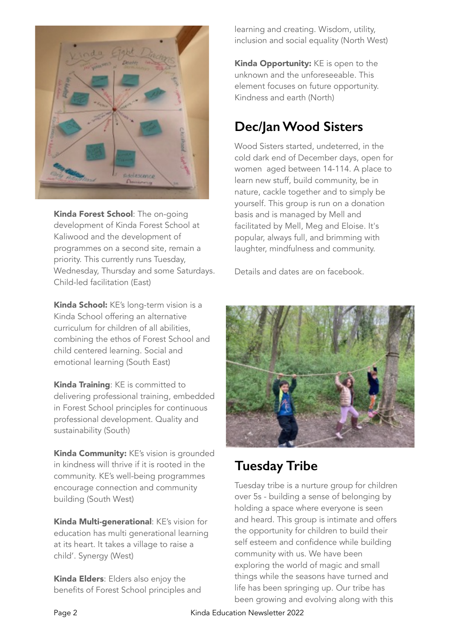

Kinda Forest School: The on-going development of Kinda Forest School at Kaliwood and the development of programmes on a second site, remain a priority. This currently runs Tuesday, Wednesday, Thursday and some Saturdays. Child-led facilitation (East)

Kinda School: KE's long-term vision is a Kinda School offering an alternative curriculum for children of all abilities, combining the ethos of Forest School and child centered learning. Social and emotional learning (South East)

Kinda Training: KE is committed to delivering professional training, embedded in Forest School principles for continuous professional development. Quality and sustainability (South)

Kinda Community: KE's vision is grounded in kindness will thrive if it is rooted in the community. KE's well-being programmes encourage connection and community building (South West)

Kinda Multi-generational: KE's vision for education has multi generational learning at its heart. It takes a village to raise a child'. Synergy (West)

Kinda Elders: Elders also enjoy the benefits of Forest School principles and learning and creating. Wisdom, utility, inclusion and social equality (North West)

Kinda Opportunity: KE is open to the unknown and the unforeseeable. This element focuses on future opportunity. Kindness and earth (North)

## **Dec/Jan Wood Sisters**

Wood Sisters started, undeterred, in the cold dark end of December days, open for women aged between 14-114. A place to learn new stuff, build community, be in nature, cackle together and to simply be yourself. This group is run on a donation basis and is managed by Mell and facilitated by Mell, Meg and Eloise. It's popular, always full, and brimming with laughter, mindfulness and community.

Details and dates are on facebook.



## **Tuesday Tribe**

Tuesday tribe is a nurture group for children over 5s - building a sense of belonging by holding a space where everyone is seen and heard. This group is intimate and offers the opportunity for children to build their self esteem and confidence while building community with us. We have been exploring the world of magic and small things while the seasons have turned and life has been springing up. Our tribe has been growing and evolving along with this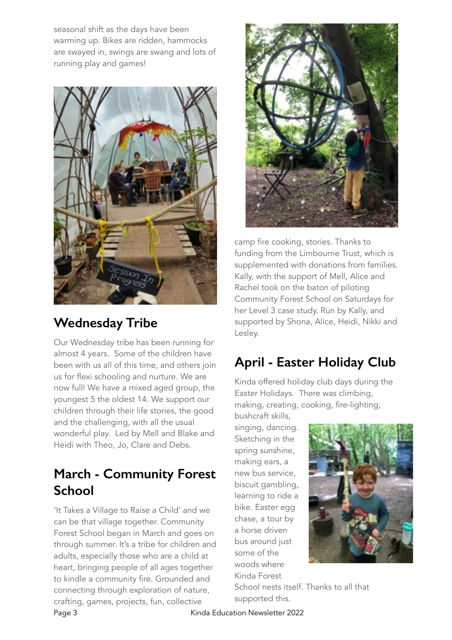seasonal shift as the days have been warming up. Bikes are ridden, hammocks are swayed in, swings are swang and lots of running play and games!



## **Wednesday Tribe**

Our Wednesday tribe has been running for almost 4 years. Some of the children have been with us all of this time, and others join us for flexi schooling and nurture. We are now full! We have a mixed aged group, the youngest 5 the oldest 14. We support our children through their life stories, the good and the challenging, with all the usual wonderful play. Led by Mell and Blake and Heidi with Theo, Jo, Clare and Debs.

### **March - Community Forest School**

'It Takes a Village to Raise a Child' and we can be that village together. Community Forest School began in March and goes on through summer. It's a tribe for children and adults, especially those who are a child at heart, bringing people of all ages together to kindle a community fire. Grounded and connecting through exploration of nature, crafting, games, projects, fun, collective



camp fire cooking, stories. Thanks to funding from the Limbourne Trust, which is supplemented with donations from families. Kally, with the support of Mell, Alice and Rachel took on the baton of piloting Community Forest School on Saturdays for her Level 3 case study. Run by Kally, and supported by Shona, Alice, Heidi, Nikki and Lesley.

## **April - Easter Holiday Club**

Kinda offered holiday club days during the Easter Holidays. There was climbing, making, creating, cooking, fire-lighting,

bushcraft skills, singing, dancing. Sketching in the spring sunshine, making ears, a new bus service, biscuit gambling, learning to ride a bike. Easter egg chase, a tour by a horse driven bus around just some of the woods where Kinda Forest



School nests itself. Thanks to all that supported this.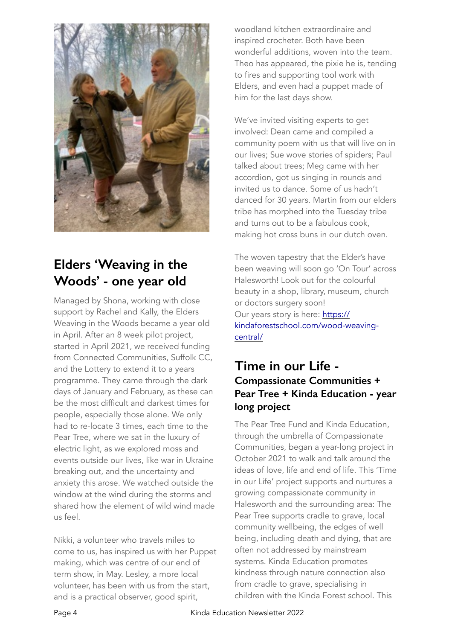

## **Elders 'Weaving in the Woods' - one year old**

Managed by Shona, working with close support by Rachel and Kally, the Elders Weaving in the Woods became a year old in April. After an 8 week pilot project, started in April 2021, we received funding from Connected Communities, Suffolk CC, and the Lottery to extend it to a years programme. They came through the dark days of January and February, as these can be the most difficult and darkest times for people, especially those alone. We only had to re-locate 3 times, each time to the Pear Tree, where we sat in the luxury of electric light, as we explored moss and events outside our lives, like war in Ukraine breaking out, and the uncertainty and anxiety this arose. We watched outside the window at the wind during the storms and shared how the element of wild wind made us feel.

Nikki, a volunteer who travels miles to come to us, has inspired us with her Puppet making, which was centre of our end of term show, in May. Lesley, a more local volunteer, has been with us from the start, and is a practical observer, good spirit,

woodland kitchen extraordinaire and inspired crocheter. Both have been wonderful additions, woven into the team. Theo has appeared, the pixie he is, tending to fires and supporting tool work with Elders, and even had a puppet made of him for the last days show.

We've invited visiting experts to get involved: Dean came and compiled a community poem with us that will live on in our lives; Sue wove stories of spiders; Paul talked about trees; Meg came with her accordion, got us singing in rounds and invited us to dance. Some of us hadn't danced for 30 years. Martin from our elders tribe has morphed into the Tuesday tribe and turns out to be a fabulous cook, making hot cross buns in our dutch oven.

The woven tapestry that the Elder's have been weaving will soon go 'On Tour' across Halesworth! Look out for the colourful beauty in a shop, library, museum, church or doctors surgery soon! Our years story is here: https:// [kindaforestschool.com/wood-weaving](https://kindaforestschool.com/wood-weaving-central/)central/

#### **Time in our Life - Compassionate Communities + Pear Tree + Kinda Education - year long project**

The Pear Tree Fund and Kinda Education, through the umbrella of Compassionate Communities, began a year-long project in October 2021 to walk and talk around the ideas of love, life and end of life. This 'Time in our Life' project supports and nurtures a growing compassionate community in Halesworth and the surrounding area: The Pear Tree supports cradle to grave, local community wellbeing, the edges of well being, including death and dying, that are often not addressed by mainstream systems. Kinda Education promotes kindness through nature connection also from cradle to grave, specialising in children with the Kinda Forest school. This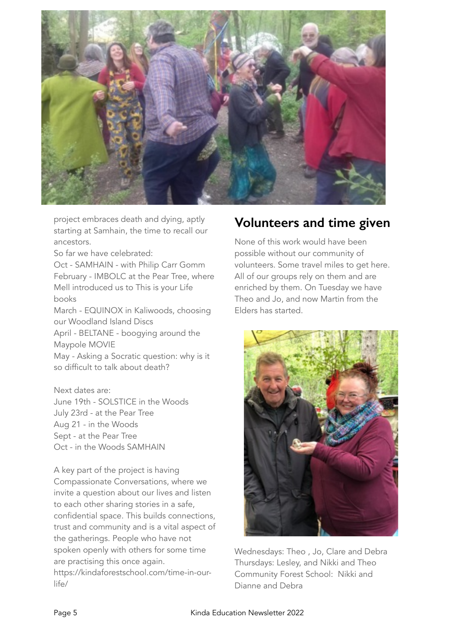

project embraces death and dying, aptly starting at Samhain, the time to recall our ancestors.

So far we have celebrated:

Oct - SAMHAIN - with Philip Carr Gomm February - IMBOLC at the Pear Tree, where Mell introduced us to This is your Life books

March - EQUINOX in Kaliwoods, choosing our Woodland Island Discs

April - BELTANE - boogying around the Maypole MOVIE

May - Asking a Socratic question: why is it so difficult to talk about death?

Next dates are: June 19th - SOLSTICE in the Woods July 23rd - at the Pear Tree Aug 21 - in the Woods Sept - at the Pear Tree Oct - in the Woods SAMHAIN

A key part of the project is having Compassionate Conversations, where we invite a question about our lives and listen to each other sharing stories in a safe, confidential space. This builds connections, trust and community and is a vital aspect of the gatherings. People who have not spoken openly with others for some time are practising this once again. https://kindaforestschool.com/time-in-ourlife/

#### **Volunteers and time given**

None of this work would have been possible without our community of volunteers. Some travel miles to get here. All of our groups rely on them and are enriched by them. On Tuesday we have Theo and Jo, and now Martin from the Elders has started.



Wednesdays: Theo , Jo, Clare and Debra Thursdays: Lesley, and Nikki and Theo Community Forest School: Nikki and Dianne and Debra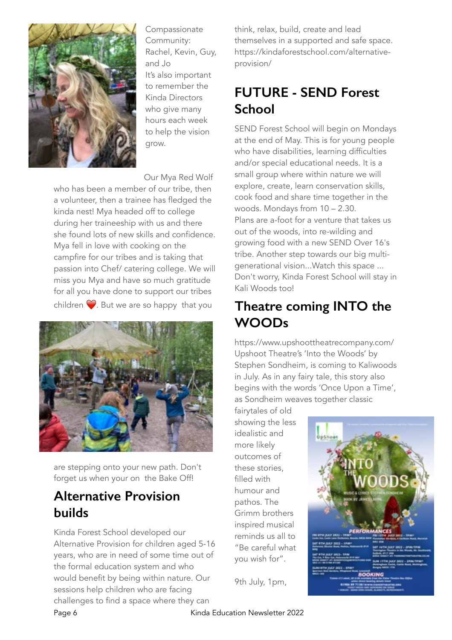

Compassionate Community: Rachel, Kevin, Guy, and Jo It's also important to remember the Kinda Directors who give many hours each week to help the vision grow.

Our Mya Red Wolf

who has been a member of our tribe, then a volunteer, then a trainee has fledged the kinda nest! Mya headed off to college during her traineeship with us and there she found lots of new skills and confidence. Mya fell in love with cooking on the campfire for our tribes and is taking that passion into Chef/ catering college. We will miss you Mya and have so much gratitude for all you have done to support our tribes children  $\heartsuit$ . But we are so happy that you



are stepping onto your new path. Don't forget us when your on the Bake Off!

#### **Alternative Provision builds**

Kinda Forest School developed our Alternative Provision for children aged 5-16 years, who are in need of some time out of the formal education system and who would benefit by being within nature. Our sessions help children who are facing challenges to find a space where they can

think, relax, build, create and lead themselves in a supported and safe space. https://kindaforestschool.com/alternativeprovision/

## **FUTURE - SEND Forest School**

SEND Forest School will begin on Mondays at the end of May. This is for young people who have disabilities, learning difficulties and/or special educational needs. It is a small group where within nature we will explore, create, learn conservation skills, cook food and share time together in the woods. Mondays from 10 – 2.30. Plans are a-foot for a venture that takes us out of the woods, into re-wilding and growing food with a new SEND Over 16's tribe. Another step towards our big multigenerational vision...Watch this space ... Don't worry, Kinda Forest School will stay in Kali Woods too!

### **Theatre coming INTO the WOODs**

https://www.upshoottheatrecompany.com/ Upshoot Theatre's 'Into the Woods' by Stephen Sondheim, is coming to Kaliwoods in July. As in any fairy tale, this story also begins with the words 'Once Upon a Time', as Sondheim weaves together classic

fairytales of old showing the less idealistic and more likely outcomes of these stories, filled with humour and pathos. The Grimm brothers inspired musical reminds us all to "Be careful what you wish for".

**BOOKIN** 

9th July, 1pm,